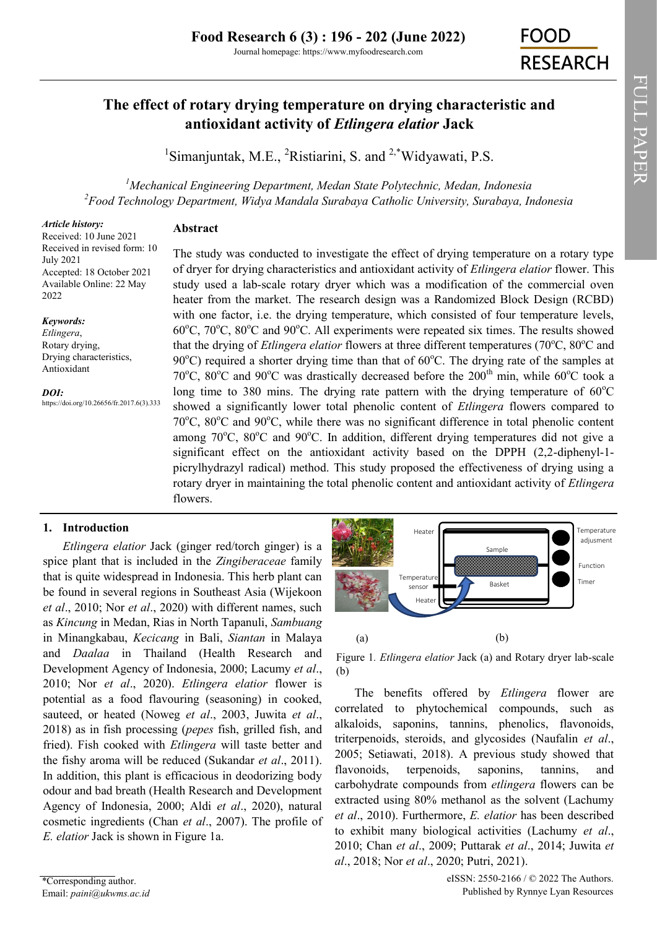# **The effect of rotary drying temperature on drying characteristic and antioxidant activity of** *Etlingera elatior* **Jack**

<sup>1</sup>[Simanjuntak, M.E.,](https://orcid.org/0000-0003-1975-5967) <sup>2</sup>[Ristiarini, S. a](https://orcid.org/0000-0003-2387-3819)nd <sup>2,\*</sup>[Widyawati, P.S.](https://orcid.org/0000-0003-2138-0690)

*<sup>1</sup>Mechanical Engineering Department, Medan State Polytechnic, Medan, Indonesia <sup>2</sup>Food Technology Department, Widya Mandala Surabaya Catholic University, Surabaya, Indonesia*

# *Article history:*

**Abstract**

Received: 10 June 2021 Received in revised form: 10 July 2021 Accepted: 18 October 2021 Available Online: 22 May 2022

# *Keywords:*

*Etlingera*, Rotary drying, Drying characteristics, Antioxidant

*DOI:*

https://doi.org/10.26656/fr.2017.6(3).333

The study was conducted to investigate the effect of drying temperature on a rotary type of dryer for drying characteristics and antioxidant activity of *Etlingera elatior* flower. This study used a lab-scale rotary dryer which was a modification of the commercial oven heater from the market. The research design was a Randomized Block Design (RCBD) with one factor, i.e. the drying temperature, which consisted of four temperature levels,  $60^{\circ}$ C,  $70^{\circ}$ C,  $80^{\circ}$ C and  $90^{\circ}$ C. All experiments were repeated six times. The results showed that the drying of *Etlingera elatior* flowers at three different temperatures (70<sup>o</sup>C, 80<sup>o</sup>C and 90 $^{\circ}$ C) required a shorter drying time than that of 60 $^{\circ}$ C. The drying rate of the samples at 70°C, 80°C and 90°C was drastically decreased before the  $200<sup>th</sup>$  min, while 60°C took a long time to 380 mins. The drying rate pattern with the drying temperature of  $60^{\circ}$ C showed a significantly lower total phenolic content of *Etlingera* flowers compared to 70 $^{\circ}$ C, 80 $^{\circ}$ C and 90 $^{\circ}$ C, while there was no significant difference in total phenolic content among  $70^{\circ}$ C,  $80^{\circ}$ C and  $90^{\circ}$ C. In addition, different drying temperatures did not give a significant effect on the antioxidant activity based on the DPPH (2,2-diphenyl-1 picrylhydrazyl radical) method. This study proposed the effectiveness of drying using a rotary dryer in maintaining the total phenolic content and antioxidant activity of *Etlingera* flowers.

# **1. Introduction**

*Etlingera elatior* Jack (ginger red/torch ginger) is a spice plant that is included in the *Zingiberaceae* family that is quite widespread in Indonesia. This herb plant can be found in several regions in Southeast Asia (Wijekoon *et al*., 2010; Nor *et al*., 2020) with different names, such as *Kincung* in Medan, Rias in North Tapanuli, *Sambuang* in Minangkabau, *Kecicang* in Bali, *Siantan* in Malaya and *Daalaa* in Thailand (Health Research and Development Agency of Indonesia, 2000; Lacumy *et al*., 2010; Nor *et al*., 2020). *Etlingera elatior* flower is potential as a food flavouring (seasoning) in cooked, sauteed, or heated (Noweg *et al*., 2003, Juwita *et al*., 2018) as in fish processing (*pepes* fish, grilled fish, and fried). Fish cooked with *Etlingera* will taste better and the fishy aroma will be reduced (Sukandar *et al*., 2011). In addition, this plant is efficacious in deodorizing body odour and bad breath (Health Research and Development Agency of Indonesia, 2000; Aldi *et al*., 2020), natural cosmetic ingredients (Chan *et al*., 2007). The profile of *E. elatior* Jack is shown in Figure 1a.



Figure 1*. Etlingera elatior* Jack (a) and Rotary dryer lab-scale (b)

The benefits offered by *Etlingera* flower are correlated to phytochemical compounds, such as alkaloids, saponins, tannins, phenolics, flavonoids, triterpenoids, steroids, and glycosides (Naufalin *et al*., 2005; Setiawati, 2018). A previous study showed that flavonoids, terpenoids, saponins, tannins, and carbohydrate compounds from *etlingera* flowers can be extracted using 80% methanol as the solvent (Lachumy *et al*., 2010). Furthermore, *E. elatior* has been described to exhibit many biological activities (Lachumy *et al*., 2010; Chan *et al*., 2009; Puttarak *et al*., 2014; Juwita *et*  <sup>Fenergrature</sup><br> **Example** *adiusment*<br> **Example** *adiusment***<br>
<b>Example** *adiusment*<br> **and Example 2 adiusment**<br> **and Example 2 adiusment**<br> **adiusment**<br> **adiusment**<br> **adiusment**<br> **adiusment**<br> **adiusment**<br> **adiusment**<br> **a**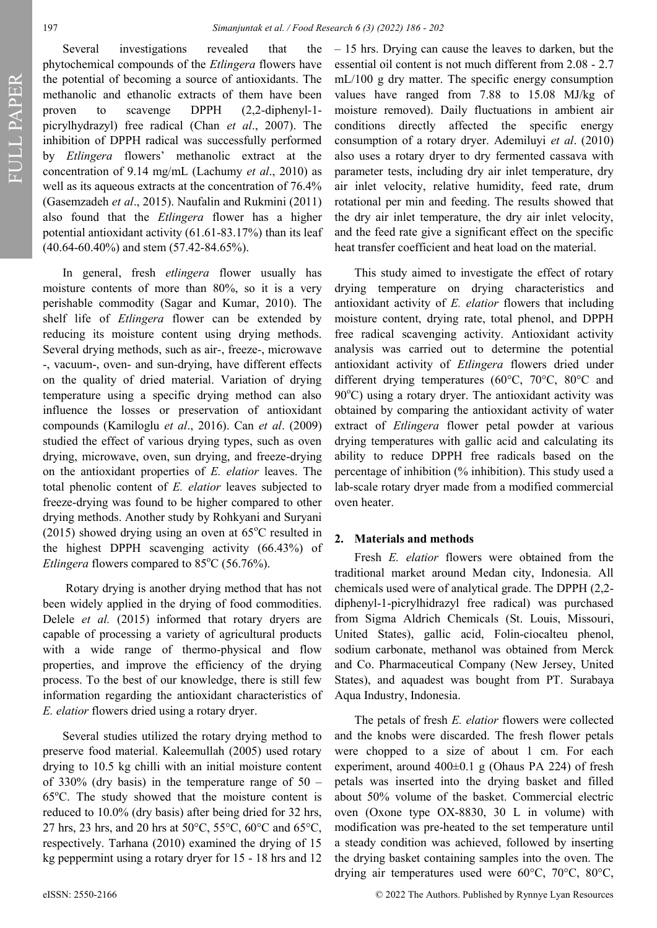FULL PAPER

Several investigations revealed that the phytochemical compounds of the *Etlingera* flowers have the potential of becoming a source of antioxidants. The methanolic and ethanolic extracts of them have been proven to scavenge DPPH (2,2-diphenyl-1 picrylhydrazyl) free radical (Chan *et al*., 2007). The inhibition of DPPH radical was successfully performed by *Etlingera* flowers' methanolic extract at the concentration of 9.14 mg/mL (Lachumy *et al*., 2010) as well as its aqueous extracts at the concentration of 76.4% (Gasemzadeh *et al*., 2015). Naufalin and Rukmini (2011) also found that the *Etlingera* flower has a higher potential antioxidant activity (61.61-83.17%) than its leaf (40.64-60.40%) and stem (57.42-84.65%).

In general, fresh *etlingera* flower usually has moisture contents of more than 80%, so it is a very perishable commodity (Sagar and Kumar, 2010). The shelf life of *Etlingera* flower can be extended by reducing its moisture content using drying methods. Several drying methods, such as air-, freeze-, microwave -, vacuum-, oven- and sun-drying, have different effects on the quality of dried material. Variation of drying temperature using a specific drying method can also influence the losses or preservation of antioxidant compounds (Kamiloglu *et al*., 2016). Can *et al*. (2009) studied the effect of various drying types, such as oven drying, microwave, oven, sun drying, and freeze-drying on the antioxidant properties of *E. elatior* leaves. The total phenolic content of *E. elatior* leaves subjected to freeze-drying was found to be higher compared to other drying methods. Another study by Rohkyani and Suryani (2015) showed drying using an oven at  $65^{\circ}$ C resulted in the highest DPPH scavenging activity (66.43%) of *Etlingera* flowers compared to 85°C (56.76%).

Rotary drying is another drying method that has not been widely applied in the drying of food commodities. Delele *et al.* (2015) informed that rotary dryers are capable of processing a variety of agricultural products with a wide range of thermo-physical and flow properties, and improve the efficiency of the drying process. To the best of our knowledge, there is still few information regarding the antioxidant characteristics of *E. elatior* flowers dried using a rotary dryer.

Several studies utilized the rotary drying method to preserve food material. Kaleemullah (2005) used rotary drying to 10.5 kg chilli with an initial moisture content of 330% (dry basis) in the temperature range of  $50 65^{\circ}$ C. The study showed that the moisture content is reduced to 10.0% (dry basis) after being dried for 32 hrs, 27 hrs, 23 hrs, and 20 hrs at 50 $\degree$ C, 55 $\degree$ C, 60 $\degree$ C and 65 $\degree$ C, respectively. Tarhana (2010) examined the drying of 15 kg peppermint using a rotary dryer for 15 - 18 hrs and 12

– 15 hrs. Drying can cause the leaves to darken, but the essential oil content is not much different from 2.08 - 2.7 mL/100 g dry matter. The specific energy consumption values have ranged from 7.88 to 15.08 MJ/kg of moisture removed). Daily fluctuations in ambient air conditions directly affected the specific energy consumption of a rotary dryer. Ademiluyi *et al*. (2010) also uses a rotary dryer to dry fermented cassava with parameter tests, including dry air inlet temperature, dry air inlet velocity, relative humidity, feed rate, drum rotational per min and feeding. The results showed that the dry air inlet temperature, the dry air inlet velocity, and the feed rate give a significant effect on the specific heat transfer coefficient and heat load on the material.

This study aimed to investigate the effect of rotary drying temperature on drying characteristics and antioxidant activity of *E. elatior* flowers that including moisture content, drying rate, total phenol, and DPPH free radical scavenging activity. Antioxidant activity analysis was carried out to determine the potential antioxidant activity of *Etlingera* flowers dried under different drying temperatures (60°C, 70°C, 80°C and  $90^{\circ}$ C) using a rotary dryer. The antioxidant activity was obtained by comparing the antioxidant activity of water extract of *Etlingera* flower petal powder at various drying temperatures with gallic acid and calculating its ability to reduce DPPH free radicals based on the percentage of inhibition (% inhibition). This study used a lab-scale rotary dryer made from a modified commercial oven heater.

# **2. Materials and methods**

Fresh *E. elatior* flowers were obtained from the traditional market around Medan city, Indonesia. All chemicals used were of analytical grade. The DPPH (2,2 diphenyl-1-picrylhidrazyl free radical) was purchased from Sigma Aldrich Chemicals ([St. Louis, Missouri,](about:blank)  [United States\)](about:blank), gallic acid, Folin-ciocalteu phenol, sodium carbonate, methanol was obtained from Merck and Co. Pharmaceutical Company ([New Jersey, United](about:blank)  [States\)](about:blank), and aquadest was bought from PT. Surabaya Aqua Industry, Indonesia.

The petals of fresh *E. elatior* flowers were collected and the knobs were discarded. The fresh flower petals were chopped to a size of about 1 cm. For each experiment, around  $400\pm0.1$  g (Ohaus PA 224) of fresh petals was inserted into the drying basket and filled about 50% volume of the basket. Commercial electric oven (Oxone type OX-8830, 30 L in volume) with modification was pre-heated to the set temperature until a steady condition was achieved, followed by inserting the drying basket containing samples into the oven. The drying air temperatures used were 60°C, 70°C, 80°C,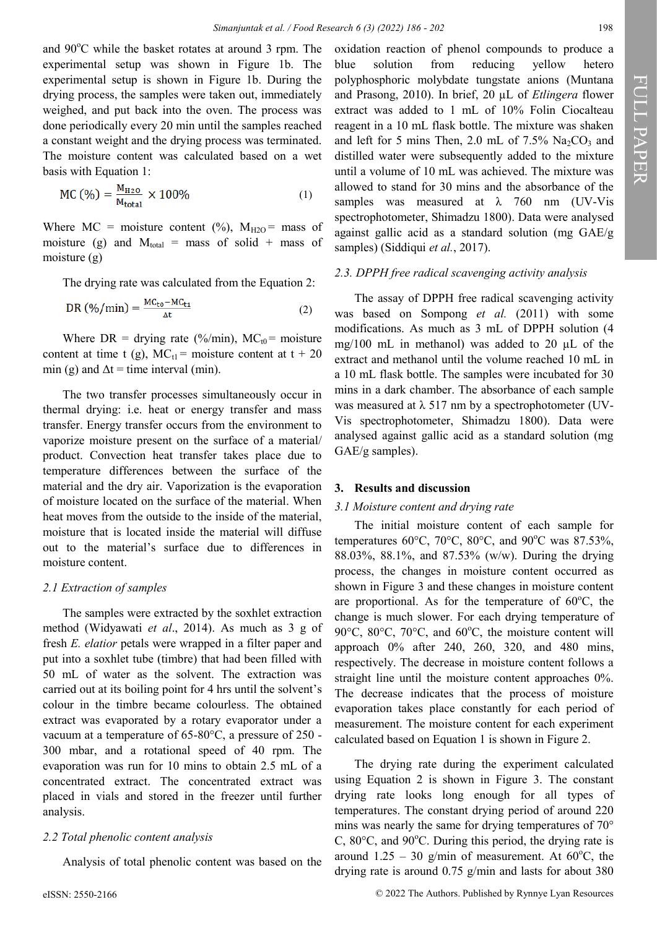and  $90^{\circ}$ C while the basket rotates at around 3 rpm. The experimental setup was shown in Figure 1b. The experimental setup is shown in Figure 1b. During the drying process, the samples were taken out, immediately weighed, and put back into the oven. The process was done periodically every 20 min until the samples reached a constant weight and the drying process was terminated. The moisture content was calculated based on a wet basis with Equation 1:

$$
MC (\%) = \frac{M_{H2O}}{M_{total}} \times 100\% \tag{1}
$$

Where  $MC = \text{moisture content } (\%)$ ,  $M_{H2O} = \text{mass of}$ moisture (g) and  $M_{total}$  = mass of solid + mass of moisture (g)

The drying rate was calculated from the Equation 2:

$$
DR\left(\frac{\%}{\min}\right) = \frac{MC_{\text{to}} - MC_{\text{t1}}}{\Delta t}
$$
 (2)

Where DR = drying rate (%/min),  $MC_{t0}$  = moisture content at time t (g),  $MC_{t1}$  = moisture content at t + 20 min (g) and  $\Delta t =$  time interval (min).

The two transfer processes simultaneously occur in thermal drying: i.e. heat or energy transfer and mass transfer. Energy transfer occurs from the environment to vaporize moisture present on the surface of a material/ product. Convection heat transfer takes place due to temperature differences between the surface of the material and the dry air. Vaporization is the evaporation of moisture located on the surface of the material. When heat moves from the outside to the inside of the material, moisture that is located inside the material will diffuse out to the material's surface due to differences in moisture content.

### *2.1 Extraction of samples*

The samples were extracted by the soxhlet extraction method (Widyawati *et al*., 2014). As much as 3 g of fresh *E. elatior* petals were wrapped in a filter paper and put into a soxhlet tube (timbre) that had been filled with 50 mL of water as the solvent. The extraction was carried out at its boiling point for 4 hrs until the solvent's colour in the timbre became colourless. The obtained extract was evaporated by a rotary evaporator under a vacuum at a temperature of 65-80°C, a pressure of 250 - 300 mbar, and a rotational speed of 40 rpm. The evaporation was run for 10 mins to obtain 2.5 mL of a concentrated extract. The concentrated extract was placed in vials and stored in the freezer until further analysis.

### *2.2 Total phenolic content analysis*

Analysis of total phenolic content was based on the

oxidation reaction of phenol compounds to produce a blue solution from reducing yellow hetero polyphosphoric molybdate tungstate anions (Muntana and Prasong, 2010). In brief, 20 µL of *Etlingera* flower extract was added to 1 mL of 10% Folin Ciocalteau reagent in a 10 mL flask bottle. The mixture was shaken and left for 5 mins Then, 2.0 mL of  $7.5\%$  Na<sub>2</sub>CO<sub>3</sub> and distilled water were subsequently added to the mixture until a volume of 10 mL was achieved. The mixture was allowed to stand for 30 mins and the absorbance of the samples was measured at  $\lambda$  760 nm (UV-Vis spectrophotometer, Shimadzu 1800). Data were analysed against gallic acid as a standard solution (mg GAE/g samples) (Siddiqui *et al.*, 2017).

# *2.3. DPPH free radical scavenging activity analysis*

The assay of DPPH free radical scavenging activity was based on Sompong *et al.* (2011) with some modifications. As much as 3 mL of DPPH solution (4 mg/100 mL in methanol) was added to 20 µL of the extract and methanol until the volume reached 10 mL in a 10 mL flask bottle. The samples were incubated for 30 mins in a dark chamber. The absorbance of each sample was measured at  $\lambda$  517 nm by a spectrophotometer (UV-Vis spectrophotometer, Shimadzu 1800). Data were analysed against gallic acid as a standard solution (mg GAE/g samples).

# **3. Results and discussion**

#### *3.1 Moisture content and drying rate*

The initial moisture content of each sample for temperatures 60 $^{\circ}$ C, 70 $^{\circ}$ C, 80 $^{\circ}$ C, and 90 $^{\circ}$ C was 87.53%, 88.03%, 88.1%, and 87.53% (w/w). During the drying process, the changes in moisture content occurred as shown in Figure 3 and these changes in moisture content are proportional. As for the temperature of  $60^{\circ}$ C, the change is much slower. For each drying temperature of 90 $\degree$ C, 80 $\degree$ C, 70 $\degree$ C, and 60 $\degree$ C, the moisture content will approach 0% after 240, 260, 320, and 480 mins, respectively. The decrease in moisture content follows a straight line until the moisture content approaches 0%. The decrease indicates that the process of moisture evaporation takes place constantly for each period of measurement. The moisture content for each experiment calculated based on Equation 1 is shown in Figure 2.

The drying rate during the experiment calculated using Equation 2 is shown in Figure 3. The constant drying rate looks long enough for all types of temperatures. The constant drying period of around 220 mins was nearly the same for drying temperatures of 70° C,  $80^{\circ}$ C, and  $90^{\circ}$ C. During this period, the drying rate is around  $1.25 - 30$  g/min of measurement. At 60<sup>o</sup>C, the drying rate is around 0.75 g/min and lasts for about 380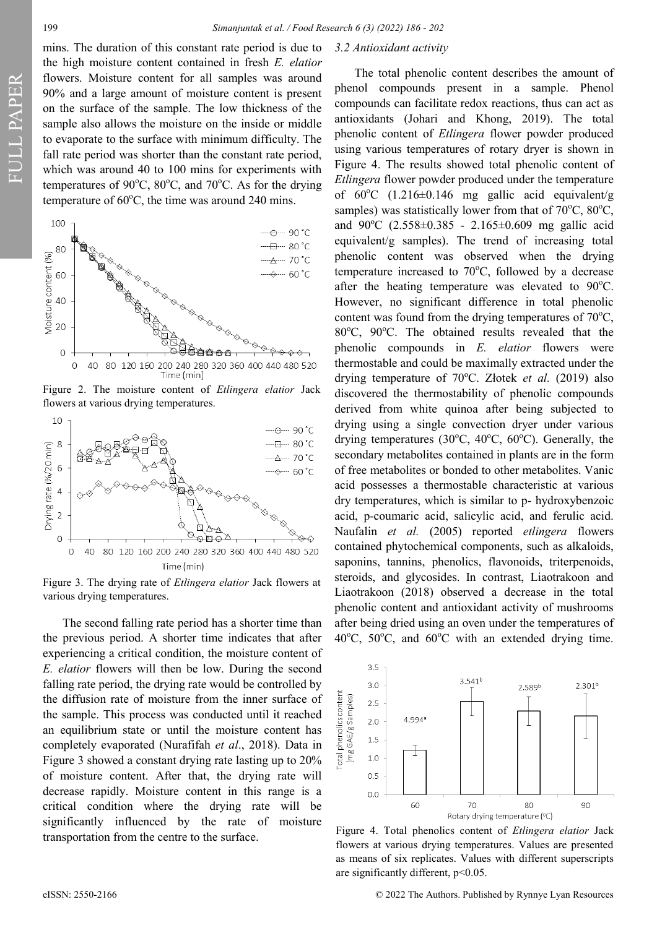# 199 *Simanjuntak et al. / Food Research 6 (3) (2022) 186 - 202*

mins. The duration of this constant rate period is due to the high moisture content contained in fresh *E. elatior*  flowers. Moisture content for all samples was around 90% and a large amount of moisture content is present on the surface of the sample. The low thickness of the sample also allows the moisture on the inside or middle to evaporate to the surface with minimum difficulty. The fall rate period was shorter than the constant rate period, which was around 40 to 100 mins for experiments with temperatures of  $90^{\circ}$ C,  $80^{\circ}$ C, and  $70^{\circ}$ C. As for the drying temperature of  $60^{\circ}$ C, the time was around 240 mins.



Figure 2. The moisture content of *Etlingera elatior* Jack flowers at various drying temperatures.



Figure 3. The drying rate of *Etlingera elatior* Jack flowers at various drying temperatures.

The second falling rate period has a shorter time than the previous period. A shorter time indicates that after experiencing a critical condition, the moisture content of *E. elatior* flowers will then be low. During the second falling rate period, the drying rate would be controlled by the diffusion rate of moisture from the inner surface of the sample. This process was conducted until it reached an equilibrium state or until the moisture content has completely evaporated (Nurafifah *et al*., 2018). Data in Figure 3 showed a constant drying rate lasting up to 20% of moisture content. After that, the drying rate will decrease rapidly. Moisture content in this range is a critical condition where the drying rate will be significantly influenced by the rate of moisture transportation from the centre to the surface.

# *3.2 Antioxidant activity*

The total phenolic content describes the amount of phenol compounds present in a sample. Phenol compounds can facilitate redox reactions, thus can act as antioxidants (Johari and Khong, 2019). The total phenolic content of *Etlingera* flower powder produced using various temperatures of rotary dryer is shown in Figure 4. The results showed total phenolic content of *Etlingera* flower powder produced under the temperature of  $60^{\circ}$ C (1.216±0.146 mg gallic acid equivalent/g samples) was statistically lower from that of  $70^{\circ}$ C,  $80^{\circ}$ C, and  $90^{\circ}$ C (2.558 $\pm$ 0.385 - 2.165 $\pm$ 0.609 mg gallic acid equivalent/g samples). The trend of increasing total phenolic content was observed when the drying temperature increased to  $70^{\circ}$ C, followed by a decrease after the heating temperature was elevated to  $90^{\circ}$ C. However, no significant difference in total phenolic content was found from the drying temperatures of  $70^{\circ}$ C,  $80^{\circ}$ C,  $90^{\circ}$ C. The obtained results revealed that the phenolic compounds in *E. elatior* flowers were thermostable and could be maximally extracted under the drying temperature of 70°C. Złotek et al. (2019) also discovered the thermostability of phenolic compounds derived from white quinoa after being subjected to drying using a single convection dryer under various drying temperatures (30 $^{\circ}$ C, 40 $^{\circ}$ C, 60 $^{\circ}$ C). Generally, the secondary metabolites contained in plants are in the form of free metabolites or bonded to other metabolites. Vanic acid possesses a thermostable characteristic at various dry temperatures, which is similar to p- hydroxybenzoic acid, p-coumaric acid, salicylic acid, and ferulic acid. Naufalin *et al.* (2005) reported *etlingera* flowers contained phytochemical components, such as alkaloids, saponins, tannins, phenolics, flavonoids, triterpenoids, steroids, and glycosides. In contrast, Liaotrakoon and Liaotrakoon (2018) observed a decrease in the total phenolic content and antioxidant activity of mushrooms after being dried using an oven under the temperatures of  $40^{\circ}$ C,  $50^{\circ}$ C, and  $60^{\circ}$ C with an extended drying time.



Figure 4. Total phenolics content of *Etlingera elatior* Jack flowers at various drying temperatures. Values are presented as means of six replicates. Values with different superscripts are significantly different,  $p<0.05$ .

eISSN: 2550-2166 © 2022 The Authors. Published by Rynnye Lyan Resources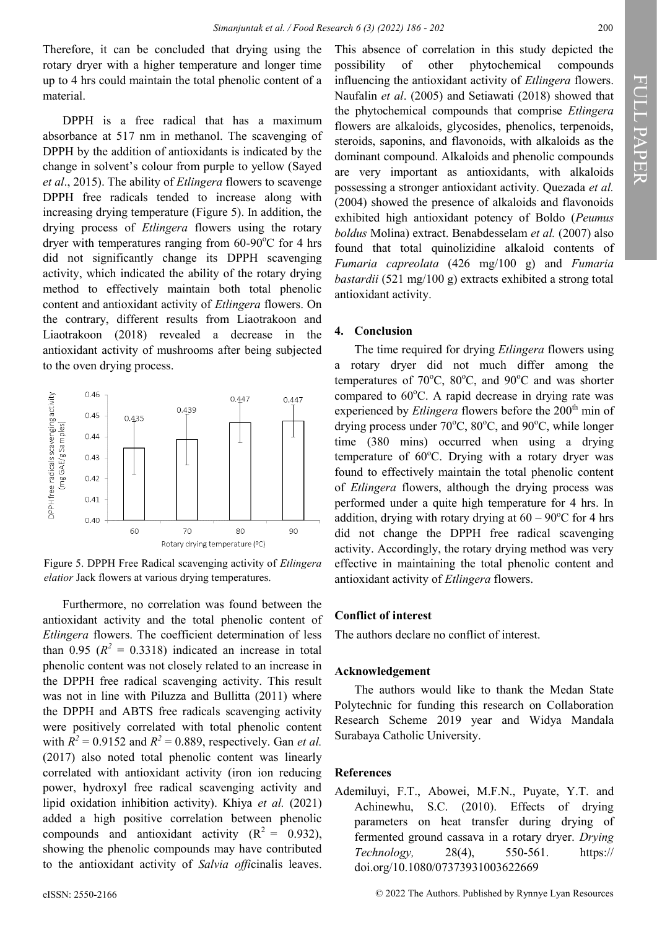Therefore, it can be concluded that drying using the rotary dryer with a higher temperature and longer time up to 4 hrs could maintain the total phenolic content of a material.

DPPH is a free radical that has a maximum absorbance at 517 nm in methanol. The scavenging of DPPH by the addition of antioxidants is indicated by the change in solvent's colour from purple to yellow (Sayed *et al*., 2015). The ability of *Etlingera* flowers to scavenge DPPH free radicals tended to increase along with increasing drying temperature (Figure 5). In addition, the drying process of *Etlingera* flowers using the rotary dryer with temperatures ranging from  $60-90^{\circ}$ C for 4 hrs did not significantly change its DPPH scavenging activity, which indicated the ability of the rotary drying method to effectively maintain both total phenolic content and antioxidant activity of *Etlingera* flowers. On the contrary, different results from Liaotrakoon and Liaotrakoon (2018) revealed a decrease in the antioxidant activity of mushrooms after being subjected to the oven drying process.





Furthermore, no correlation was found between the antioxidant activity and the total phenolic content of *Etlingera* flowers. The coefficient determination of less than 0.95  $(R^2 = 0.3318)$  indicated an increase in total phenolic content was not closely related to an increase in the DPPH free radical scavenging activity. This result was not in line with Piluzza and Bullitta (2011) where the DPPH and ABTS free radicals scavenging activity were positively correlated with total phenolic content with  $R^2 = 0.9152$  and  $R^2 = 0.889$ , respectively. Gan *et al.* (2017) also noted total phenolic content was linearly correlated with antioxidant activity (iron ion reducing power, hydroxyl free radical scavenging activity and lipid oxidation inhibition activity). Khiya *et al.* (2021) added a high positive correlation between phenolic compounds and antioxidant activity  $(R^2 = 0.932)$ , showing the phenolic compounds may have contributed to the antioxidant activity of *Salvia offi*cinalis leaves.

This absence of correlation in this study depicted the possibility of other phytochemical compounds influencing the antioxidant activity of *Etlingera* flowers. Naufalin *et al*. (2005) and Setiawati (2018) showed that the phytochemical compounds that comprise *Etlingera* flowers are alkaloids, glycosides, phenolics, terpenoids, steroids, saponins, and flavonoids, with alkaloids as the dominant compound. Alkaloids and phenolic compounds are very important as antioxidants, with alkaloids possessing a stronger antioxidant activity. Quezada *et al.* (2004) showed the presence of alkaloids and flavonoids exhibited high antioxidant potency of Boldo (*Peumus boldus* Molina) extract. Benabdesselam *et al.* (2007) also found that total quinolizidine alkaloid contents of *Fumaria capreolata* (426 mg/100 g) and *Fumaria bastardii* (521 mg/100 g) extracts exhibited a strong total antioxidant activity.

### **4. Conclusion**

The time required for drying *Etlingera* flowers using a rotary dryer did not much differ among the temperatures of 70 $\rm ^{o}C$ , 80 $\rm ^{o}C$ , and 90 $\rm ^{o}C$  and was shorter compared to  $60^{\circ}$ C. A rapid decrease in drying rate was experienced by *Etlingera* flowers before the 200<sup>th</sup> min of drying process under  $70^{\circ}$ C,  $80^{\circ}$ C, and  $90^{\circ}$ C, while longer time (380 mins) occurred when using a drying temperature of  $60^{\circ}$ C. Drying with a rotary dryer was found to effectively maintain the total phenolic content of *Etlingera* flowers, although the drying process was performed under a quite high temperature for 4 hrs. In addition, drying with rotary drying at  $60 - 90^{\circ}$ C for 4 hrs did not change the DPPH free radical scavenging activity. Accordingly, the rotary drying method was very effective in maintaining the total phenolic content and antioxidant activity of *Etlingera* flowers.

### **Conflict of interest**

The authors declare no conflict of interest.

# **Acknowledgement**

The authors would like to thank the Medan State Polytechnic for funding this research on Collaboration Research Scheme 2019 year and Widya Mandala Surabaya Catholic University.

# **References**

Ademiluyi, F.T., Abowei, M.F.N., Puyate, Y.T. and Achinewhu, S.C. (2010). Effects of drying parameters on heat transfer during drying of fermented ground cassava in a rotary dryer. *Drying Technology,* 28(4), 550-561. https:// doi.org/10.1080/07373931003622669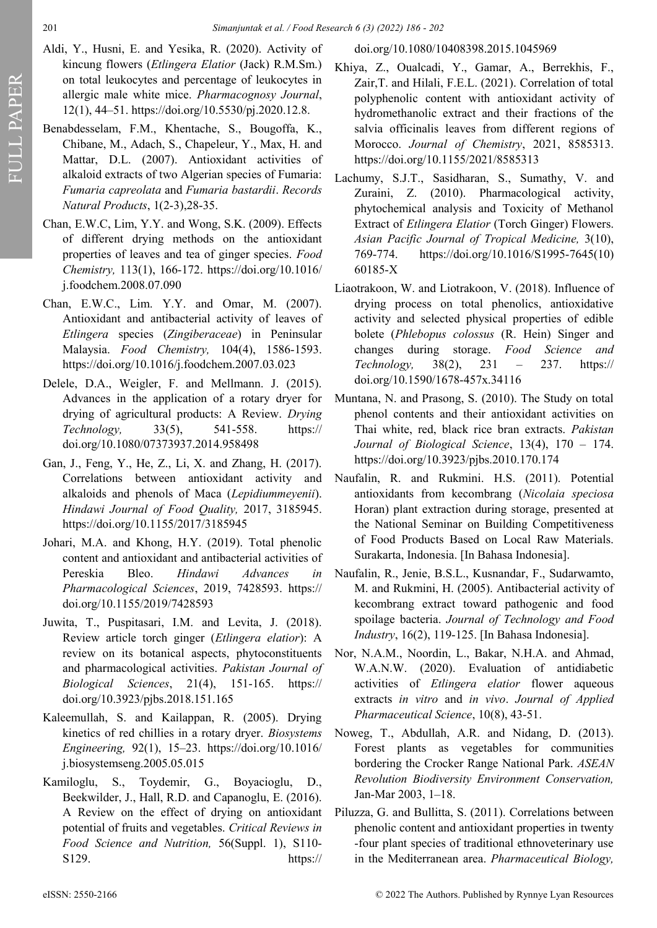- Aldi, Y., Husni, E. and Yesika, R. (2020). Activity of kincung flowers (*Etlingera Elatior* (Jack) R.M.Sm.) on total leukocytes and percentage of leukocytes in allergic male white mice. *Pharmacognosy Journal*, 12(1), 44–51. https://doi.org/10.5530/pj.2020.12.8.
- Benabdesselam, F.M., Khentache, S., Bougoffa, K., Chibane, M., Adach, S., Chapeleur, Y., Max, H. and Mattar, D.L. (2007). Antioxidant activities of alkaloid extracts of two Algerian species of Fumaria: *Fumaria capreolata* and *Fumaria bastardii*. *Records Natural Products*, 1(2-3),28-35.
- Chan, E.W.C, Lim, Y.Y. and Wong, S.K. (2009). Effects of different drying methods on the antioxidant properties of leaves and tea of ginger species. *Food Chemistry,* 113(1), 166-172. [https://doi.org/10.1016/](https://doi.org/10.1016/j.foodchem.2008.07.090) [j.foodchem.2008.07.090](https://doi.org/10.1016/j.foodchem.2008.07.090)
- Chan, E.W.C., Lim. Y.Y. and Omar, M. (2007). Antioxidant and antibacterial activity of leaves of *Etlingera* species (*Zingiberaceae*) in Peninsular Malaysia. *Food Chemistry,* 104(4), 1586-1593. https://doi.org/10.1016/j.foodchem.2007.03.023
- [Delele,](about:blank) D.A., Weigler, F. and Mellmann. J. (2015). Advances in the application of a rotary dryer for drying of agricultural products: A Review. *[Drying](about:blank)  [Technology,](about:blank)* 33(5), 541-558. https:// doi.org/10.1080/07373937.2014.958498
- Gan, J., Feng, Y., He, Z., Li, X. and Zhang, H. (2017). Correlations between antioxidant activity and alkaloids and phenols of Maca (*Lepidiummeyenii*). *Hindawi Journal of Food Quality,* 2017, 3185945. https://doi.org/10.1155/2017/3185945
- Johari, M.A. and Khong, H.Y. (2019). Total phenolic content and antioxidant and antibacterial activities of Pereskia Bleo. *Hindawi Advances in Pharmacological Sciences*, 2019, 7428593. https:// doi.org/10.1155/2019/7428593
- Juwita, T., Puspitasari, I.M. and Levita, J. (2018). Review article torch ginger (*Etlingera elatior*): A review on its botanical aspects, phytoconstituents and pharmacological activities. *Pakistan Journal of Biological Sciences*, 21(4), 151-165. https:// doi.org/10.3923/pjbs.2018.151.165
- Kaleemullah, S. and Kailappan, R. (2005). Drying kinetics of red chillies in a rotary dryer. *Biosystems Engineering,* 92(1), 15–23. https://doi.org/10.1016/ j.biosystemseng.2005.05.015
- Kamiloglu, S., Toydemir, G., Boyacioglu, D., Beekwilder, J., Hall, R.D. and Capanoglu, E. (2016). A Review on the effect of drying on antioxidant potential of fruits and vegetables. *Critical Reviews in Food Science and Nutrition,* 56(Suppl. 1), S110- S129. https://

# doi.org/10.1080/10408398.2015.1045969

- Khiya, Z., Oualcadi, Y., Gamar, A., Berrekhis, F., Zair,T. and Hilali, F.E.L. (2021). Correlation of total polyphenolic content with antioxidant activity of hydromethanolic extract and their fractions of the salvia officinalis leaves from different regions of Morocco. *Journal of Chemistry*, 2021, 8585313. https://doi.org/10.1155/2021/8585313
- Lachumy, S.J.T., Sasidharan, S., Sumathy, V. and Zuraini, Z. (2010). Pharmacological activity, phytochemical analysis and Toxicity of Methanol Extract of *Etlingera Elatior* (Torch Ginger) Flowers. *Asian Pacific Journal of Tropical Medicine,* 3(10), 769-774. https://doi.org/10.1016/S1995-7645(10) 60185-X
- Liaotrakoon, W. and Liotrakoon, V. (2018). Influence of drying process on total phenolics, antioxidative activity and selected physical properties of edible bolete (*Phlebopus colossus* (R. Hein) Singer and changes during storage. *Food Science and Technology,* 38(2), 231 – 237. https:// doi.org/10.1590/1678-457x.34116
- Muntana, N. and Prasong, S. (2010). The Study on total phenol contents and their antioxidant activities on Thai white, red, black rice bran extracts. *Pakistan Journal of Biological Science*, 13(4), 170 – 174. https://doi.org/10.3923/pjbs.2010.170.174
- Naufalin, R. and Rukmini. H.S. (2011). Potential antioxidants from kecombrang (*Nicolaia speciosa* Horan) plant extraction during storage, presented at the National Seminar on Building Competitiveness of Food Products Based on Local Raw Materials. Surakarta, Indonesia. [In Bahasa Indonesia].
- Naufalin, R., Jenie, B.S.L., Kusnandar, F., Sudarwamto, M. and Rukmini, H. (2005). Antibacterial activity of kecombrang extract toward pathogenic and food spoilage bacteria. *Journal of Technology and Food Industry*, 16(2), 119-125. [In Bahasa Indonesia].
- Nor, N.A.M., Noordin, L., Bakar, N.H.A. and Ahmad, W.A.N.W. (2020). Evaluation of antidiabetic activities of *Etlingera elatior* flower aqueous extracts *in vitro* and *in vivo*. *Journal of Applied Pharmaceutical Science*, 10(8), 43-51.
- Noweg, T., Abdullah, A.R. and Nidang, D. (2013). Forest plants as vegetables for communities bordering the Crocker Range National Park. *ASEAN Revolution Biodiversity Environment Conservation,* Jan-Mar 2003, 1–18.
- Piluzza, G. and Bullitta, S. (2011). Correlations between phenolic content and antioxidant properties in twenty -four plant species of traditional ethnoveterinary use in the Mediterranean area. *Pharmaceutical Biology,*